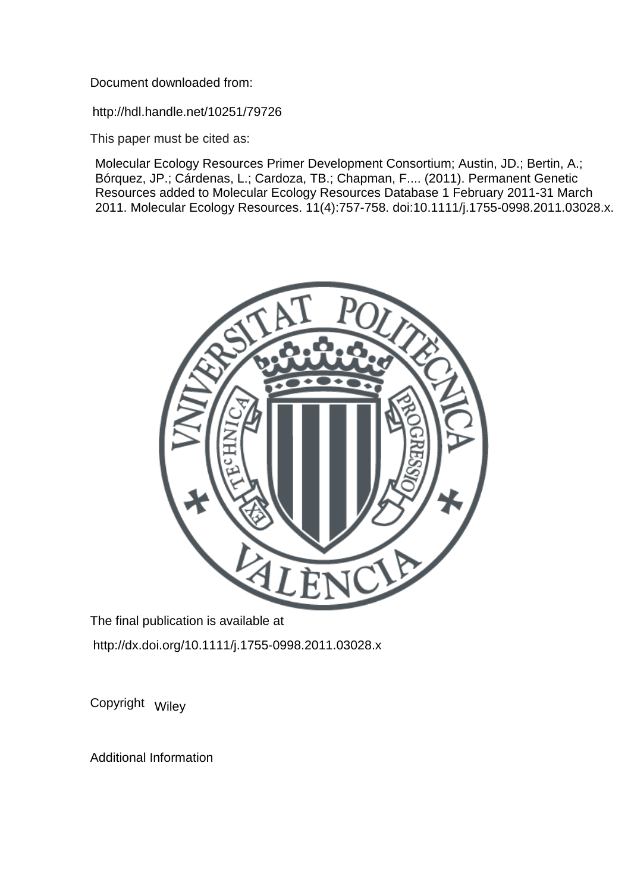Document downloaded from:

http://hdl.handle.net/10251/79726

This paper must be cited as:

Molecular Ecology Resources Primer Development Consortium; Austin, JD.; Bertin, A.; Bórquez, JP.; Cárdenas, L.; Cardoza, TB.; Chapman, F.... (2011). Permanent Genetic Resources added to Molecular Ecology Resources Database 1 February 2011-31 March 2011. Molecular Ecology Resources. 11(4):757-758. doi:10.1111/j.1755-0998.2011.03028.x.



The final publication is available at http://dx.doi.org/10.1111/j.1755-0998.2011.03028.x

Copyright Wiley

Additional Information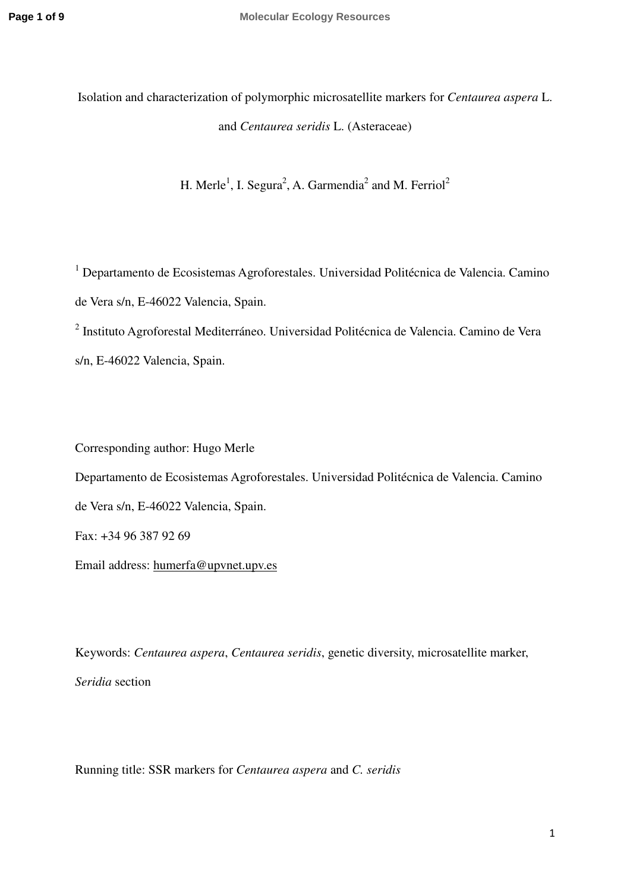Isolation and characterization of polymorphic microsatellite markers for *Centaurea aspera* L. and *Centaurea seridis* L. (Asteraceae)

H. Merle<sup>1</sup>, I. Segura<sup>2</sup>, A. Garmendia<sup>2</sup> and M. Ferriol<sup>2</sup>

<sup>1</sup> Departamento de Ecosistemas Agroforestales. Universidad Politécnica de Valencia. Camino de Vera s/n, E-46022 Valencia, Spain.

<sup>2</sup> Instituto Agroforestal Mediterráneo. Universidad Politécnica de Valencia. Camino de Vera s/n, E-46022 Valencia, Spain.

Corresponding author: Hugo Merle Departamento de Ecosistemas Agroforestales. Universidad Politécnica de Valencia. Camino de Vera s/n, E-46022 Valencia, Spain. Fax: +34 96 387 92 69

Email address: humerfa@upvnet.upv.es

Keywords: *Centaurea aspera*, *Centaurea seridis*, genetic diversity, microsatellite marker, *Seridia* section

Running title: SSR markers for *Centaurea aspera* and *C. seridis*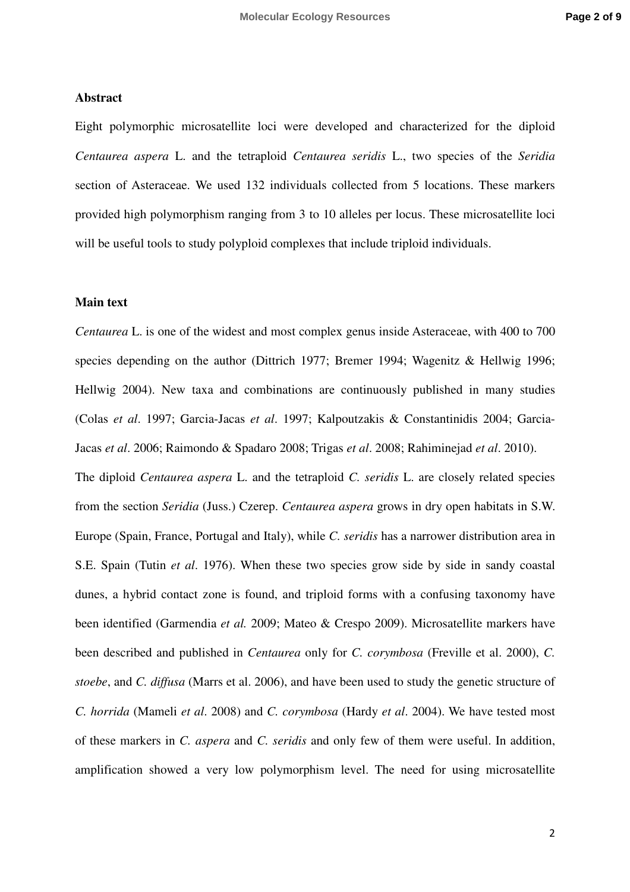## **Abstract**

Eight polymorphic microsatellite loci were developed and characterized for the diploid *Centaurea aspera* L. and the tetraploid *Centaurea seridis* L., two species of the *Seridia* section of Asteraceae. We used 132 individuals collected from 5 locations. These markers provided high polymorphism ranging from 3 to 10 alleles per locus. These microsatellite loci will be useful tools to study polyploid complexes that include triploid individuals.

## **Main text**

*Centaurea* L. is one of the widest and most complex genus inside Asteraceae, with 400 to 700 species depending on the author (Dittrich 1977; Bremer 1994; Wagenitz & Hellwig 1996; Hellwig 2004). New taxa and combinations are continuously published in many studies (Colas *et al*. 1997; Garcia-Jacas *et al*. 1997; Kalpoutzakis & Constantinidis 2004; Garcia-Jacas *et al*. 2006; Raimondo & Spadaro 2008; Trigas *et al*. 2008; Rahiminejad *et al*. 2010). The diploid *Centaurea aspera* L. and the tetraploid *C. seridis* L. are closely related species from the section *Seridia* (Juss.) Czerep. *Centaurea aspera* grows in dry open habitats in S.W. Europe (Spain, France, Portugal and Italy), while *C. seridis* has a narrower distribution area in S.E. Spain (Tutin *et al*. 1976). When these two species grow side by side in sandy coastal dunes, a hybrid contact zone is found, and triploid forms with a confusing taxonomy have been identified (Garmendia *et al.* 2009; Mateo & Crespo 2009). Microsatellite markers have been described and published in *Centaurea* only for *C. corymbosa* (Freville et al. 2000), *C. stoebe*, and *C. diffusa* (Marrs et al. 2006), and have been used to study the genetic structure of *C. horrida* (Mameli *et al*. 2008) and *C. corymbosa* (Hardy *et al*. 2004). We have tested most

of these markers in *C. aspera* and *C. seridis* and only few of them were useful. In addition, amplification showed a very low polymorphism level. The need for using microsatellite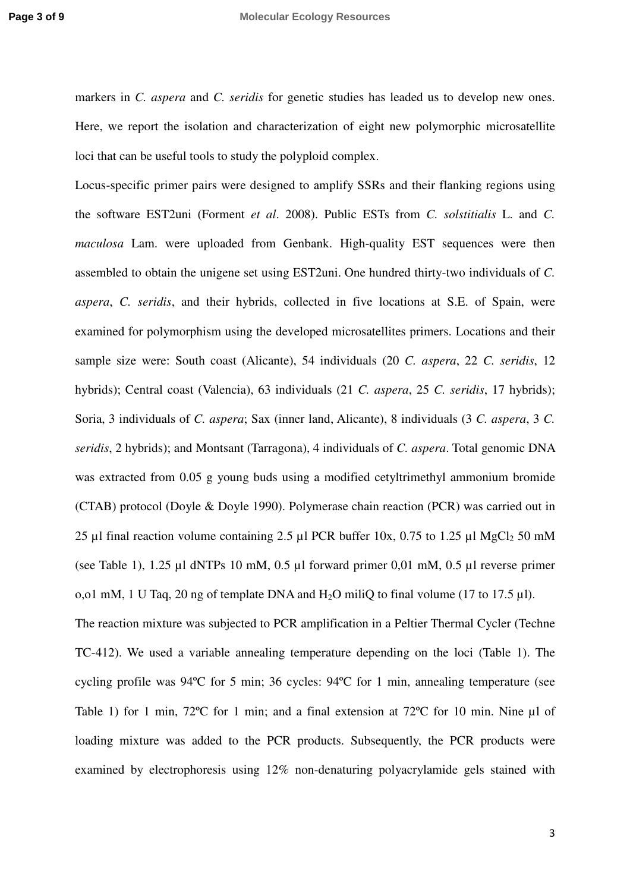markers in *C. aspera* and *C. seridis* for genetic studies has leaded us to develop new ones. Here, we report the isolation and characterization of eight new polymorphic microsatellite loci that can be useful tools to study the polyploid complex.

Locus-specific primer pairs were designed to amplify SSRs and their flanking regions using the software EST2uni (Forment *et al*. 2008). Public ESTs from *C. solstitialis* L. and *C. maculosa* Lam. were uploaded from Genbank. High-quality EST sequences were then assembled to obtain the unigene set using EST2uni. One hundred thirty-two individuals of *C. aspera*, *C. seridis*, and their hybrids, collected in five locations at S.E. of Spain, were examined for polymorphism using the developed microsatellites primers. Locations and their sample size were: South coast (Alicante), 54 individuals (20 *C. aspera*, 22 *C. seridis*, 12 hybrids); Central coast (Valencia), 63 individuals (21 *C. aspera*, 25 *C. seridis*, 17 hybrids); Soria, 3 individuals of *C. aspera*; Sax (inner land, Alicante), 8 individuals (3 *C. aspera*, 3 *C. seridis*, 2 hybrids); and Montsant (Tarragona), 4 individuals of *C. aspera*. Total genomic DNA was extracted from 0.05 g young buds using a modified cetyltrimethyl ammonium bromide (CTAB) protocol (Doyle & Doyle 1990). Polymerase chain reaction (PCR) was carried out in 25 µl final reaction volume containing 2.5 µl PCR buffer  $10x$ , 0.75 to 1.25 µl MgCl<sub>2</sub> 50 mM (see Table 1), 1.25 µl dNTPs 10 mM, 0.5 µl forward primer 0,01 mM, 0.5 µl reverse primer o,o1 mM, 1 U Taq, 20 ng of template DNA and  $H_2O$  miliQ to final volume (17 to 17.5  $\mu$ l). The reaction mixture was subjected to PCR amplification in a Peltier Thermal Cycler (Techne TC-412). We used a variable annealing temperature depending on the loci (Table 1). The cycling profile was 94ºC for 5 min; 36 cycles: 94ºC for 1 min, annealing temperature (see Table 1) for 1 min,  $72^{\circ}$ C for 1 min; and a final extension at  $72^{\circ}$ C for 10 min. Nine µl of

loading mixture was added to the PCR products. Subsequently, the PCR products were examined by electrophoresis using 12% non-denaturing polyacrylamide gels stained with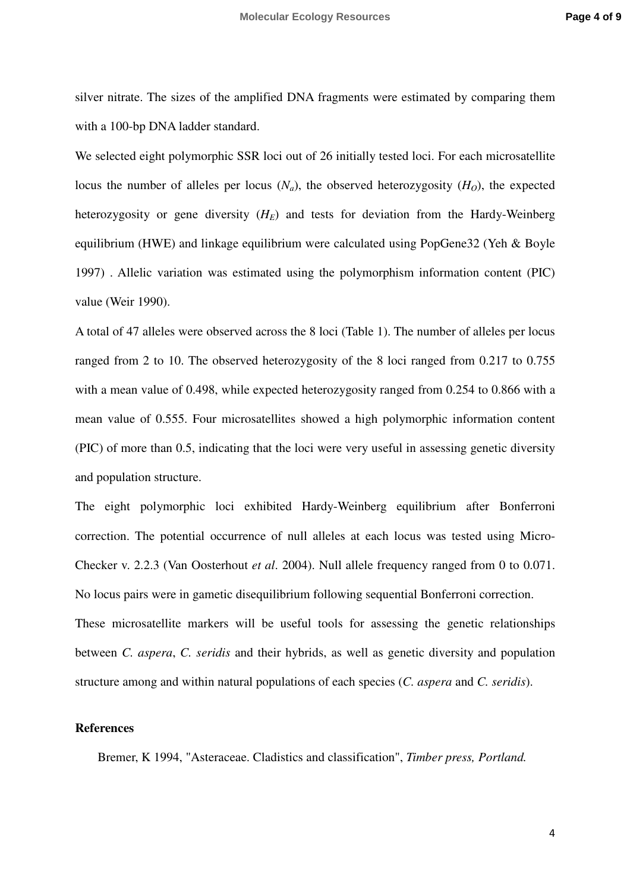silver nitrate. The sizes of the amplified DNA fragments were estimated by comparing them with a 100-bp DNA ladder standard.

We selected eight polymorphic SSR loci out of 26 initially tested loci. For each microsatellite locus the number of alleles per locus  $(N_a)$ , the observed heterozygosity  $(H<sub>O</sub>)$ , the expected heterozygosity or gene diversity  $(H_E)$  and tests for deviation from the Hardy-Weinberg equilibrium (HWE) and linkage equilibrium were calculated using PopGene32 (Yeh & Boyle 1997) . Allelic variation was estimated using the polymorphism information content (PIC) value (Weir 1990).

A total of 47 alleles were observed across the 8 loci (Table 1). The number of alleles per locus ranged from 2 to 10. The observed heterozygosity of the 8 loci ranged from 0.217 to 0.755 with a mean value of 0.498, while expected heterozygosity ranged from 0.254 to 0.866 with a mean value of 0.555. Four microsatellites showed a high polymorphic information content (PIC) of more than 0.5, indicating that the loci were very useful in assessing genetic diversity and population structure.

The eight polymorphic loci exhibited Hardy-Weinberg equilibrium after Bonferroni correction. The potential occurrence of null alleles at each locus was tested using Micro-Checker v. 2.2.3 (Van Oosterhout *et al*. 2004). Null allele frequency ranged from 0 to 0.071. No locus pairs were in gametic disequilibrium following sequential Bonferroni correction. These microsatellite markers will be useful tools for assessing the genetic relationships between *C. aspera*, *C. seridis* and their hybrids, as well as genetic diversity and population structure among and within natural populations of each species (*C. aspera* and *C. seridis*).

## **References**

Bremer, K 1994, "Asteraceae. Cladistics and classification", *Timber press, Portland.*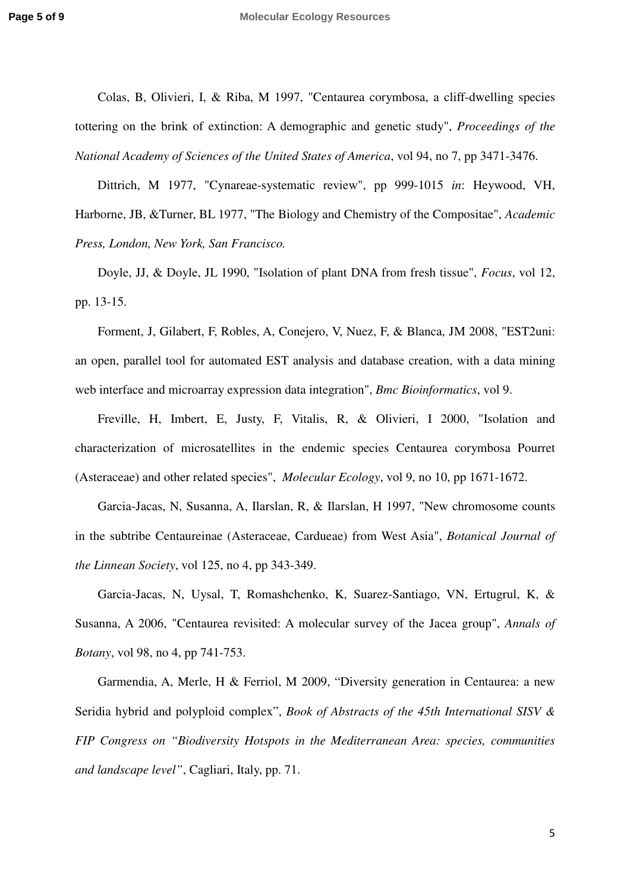Colas, B, Olivieri, I, & Riba, M 1997, "Centaurea corymbosa, a cliff-dwelling species tottering on the brink of extinction: A demographic and genetic study", *Proceedings of the National Academy of Sciences of the United States of America*, vol 94, no 7, pp 3471-3476.

Dittrich, M 1977, "Cynareae-systematic review", pp 999-1015 *in*: Heywood, VH, Harborne, JB, &Turner, BL 1977, "The Biology and Chemistry of the Compositae", *Academic Press, London, New York, San Francisco.* 

Doyle, JJ, & Doyle, JL 1990, "Isolation of plant DNA from fresh tissue", *Focus*, vol 12, pp. 13-15.

Forment, J, Gilabert, F, Robles, A, Conejero, V, Nuez, F, & Blanca, JM 2008, "EST2uni: an open, parallel tool for automated EST analysis and database creation, with a data mining web interface and microarray expression data integration", *Bmc Bioinformatics*, vol 9.

Freville, H, Imbert, E, Justy, F, Vitalis, R, & Olivieri, I 2000, "Isolation and characterization of microsatellites in the endemic species Centaurea corymbosa Pourret (Asteraceae) and other related species", *Molecular Ecology*, vol 9, no 10, pp 1671-1672.

Garcia-Jacas, N, Susanna, A, Ilarslan, R, & Ilarslan, H 1997, "New chromosome counts in the subtribe Centaureinae (Asteraceae, Cardueae) from West Asia", *Botanical Journal of the Linnean Society*, vol 125, no 4, pp 343-349.

Garcia-Jacas, N, Uysal, T, Romashchenko, K, Suarez-Santiago, VN, Ertugrul, K, & Susanna, A 2006, "Centaurea revisited: A molecular survey of the Jacea group", *Annals of Botany*, vol 98, no 4, pp 741-753.

Garmendia, A, Merle, H & Ferriol, M 2009, "Diversity generation in Centaurea: a new Seridia hybrid and polyploid complex", *Book of Abstracts of the 45th International SISV & FIP Congress on "Biodiversity Hotspots in the Mediterranean Area: species, communities and landscape level"*, Cagliari, Italy, pp. 71.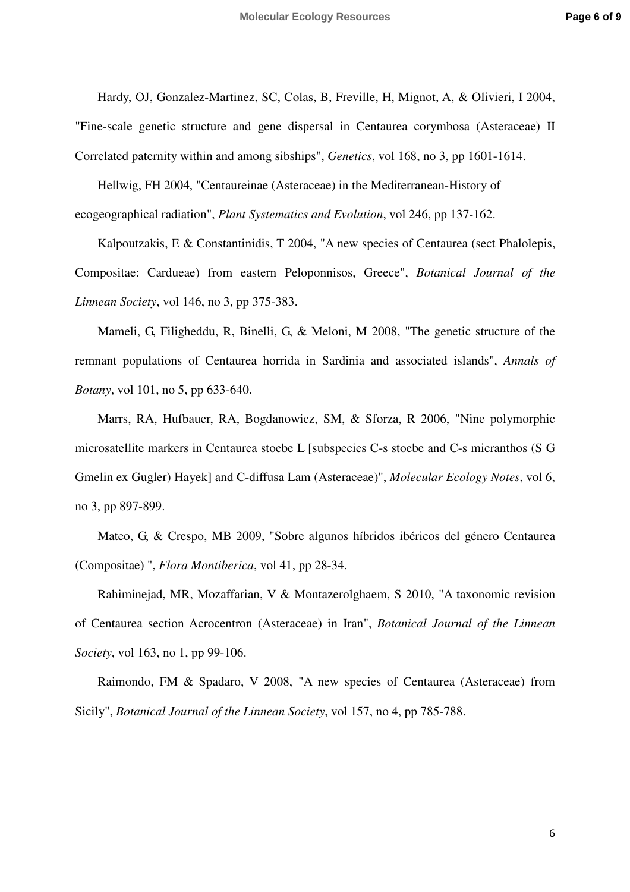Hardy, OJ, Gonzalez-Martinez, SC, Colas, B, Freville, H, Mignot, A, & Olivieri, I 2004,

"Fine-scale genetic structure and gene dispersal in Centaurea corymbosa (Asteraceae) II Correlated paternity within and among sibships", *Genetics*, vol 168, no 3, pp 1601-1614.

Hellwig, FH 2004, "Centaureinae (Asteraceae) in the Mediterranean-History of ecogeographical radiation", *Plant Systematics and Evolution*, vol 246, pp 137-162.

Kalpoutzakis, E & Constantinidis, T 2004, "A new species of Centaurea (sect Phalolepis, Compositae: Cardueae) from eastern Peloponnisos, Greece", *Botanical Journal of the Linnean Society*, vol 146, no 3, pp 375-383.

Mameli, G, Filigheddu, R, Binelli, G, & Meloni, M 2008, "The genetic structure of the remnant populations of Centaurea horrida in Sardinia and associated islands", *Annals of Botany*, vol 101, no 5, pp 633-640.

Marrs, RA, Hufbauer, RA, Bogdanowicz, SM, & Sforza, R 2006, "Nine polymorphic microsatellite markers in Centaurea stoebe L [subspecies C-s stoebe and C-s micranthos (S G Gmelin ex Gugler) Hayek] and C-diffusa Lam (Asteraceae)", *Molecular Ecology Notes*, vol 6, no 3, pp 897-899.

Mateo, G, & Crespo, MB 2009, "Sobre algunos híbridos ibéricos del género Centaurea (Compositae) ", *Flora Montiberica*, vol 41, pp 28-34.

Rahiminejad, MR, Mozaffarian, V & Montazerolghaem, S 2010, "A taxonomic revision of Centaurea section Acrocentron (Asteraceae) in Iran", *Botanical Journal of the Linnean Society*, vol 163, no 1, pp 99-106.

Raimondo, FM & Spadaro, V 2008, "A new species of Centaurea (Asteraceae) from Sicily", *Botanical Journal of the Linnean Society*, vol 157, no 4, pp 785-788.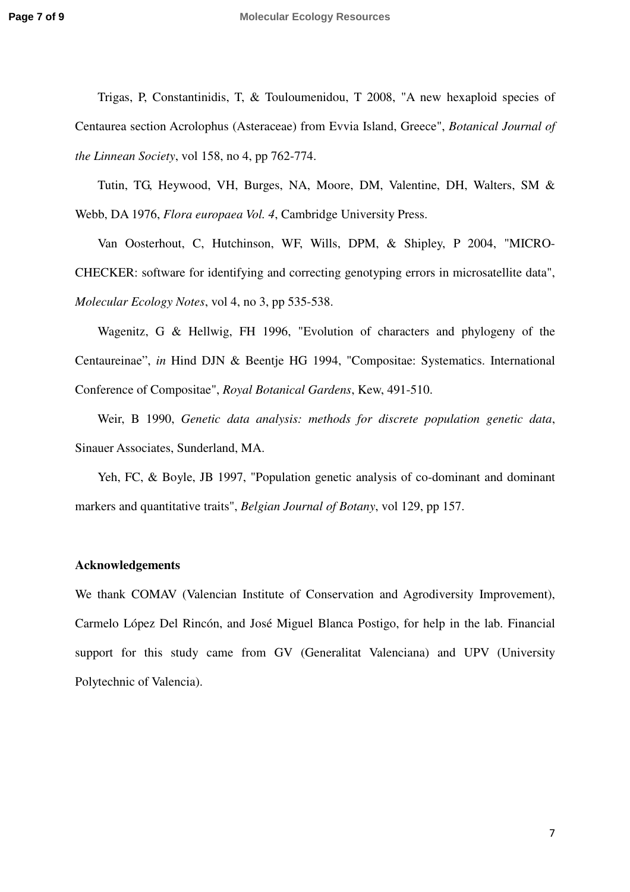Trigas, P, Constantinidis, T, & Touloumenidou, T 2008, "A new hexaploid species of Centaurea section Acrolophus (Asteraceae) from Evvia Island, Greece", *Botanical Journal of the Linnean Society*, vol 158, no 4, pp 762-774.

Tutin, TG, Heywood, VH, Burges, NA, Moore, DM, Valentine, DH, Walters, SM & Webb, DA 1976, *Flora europaea Vol. 4*, Cambridge University Press.

Van Oosterhout, C, Hutchinson, WF, Wills, DPM, & Shipley, P 2004, "MICRO-CHECKER: software for identifying and correcting genotyping errors in microsatellite data", *Molecular Ecology Notes*, vol 4, no 3, pp 535-538.

Wagenitz, G & Hellwig, FH 1996, "Evolution of characters and phylogeny of the Centaureinae", *in* Hind DJN & Beentje HG 1994, "Compositae: Systematics. International Conference of Compositae", *Royal Botanical Gardens*, Kew, 491-510.

Weir, B 1990, *Genetic data analysis: methods for discrete population genetic data*, Sinauer Associates, Sunderland, MA.

Yeh, FC, & Boyle, JB 1997, "Population genetic analysis of co-dominant and dominant markers and quantitative traits", *Belgian Journal of Botany*, vol 129, pp 157.

## **Acknowledgements**

We thank COMAV (Valencian Institute of Conservation and Agrodiversity Improvement), Carmelo López Del Rincón, and José Miguel Blanca Postigo, for help in the lab. Financial support for this study came from GV (Generalitat Valenciana) and UPV (University Polytechnic of Valencia).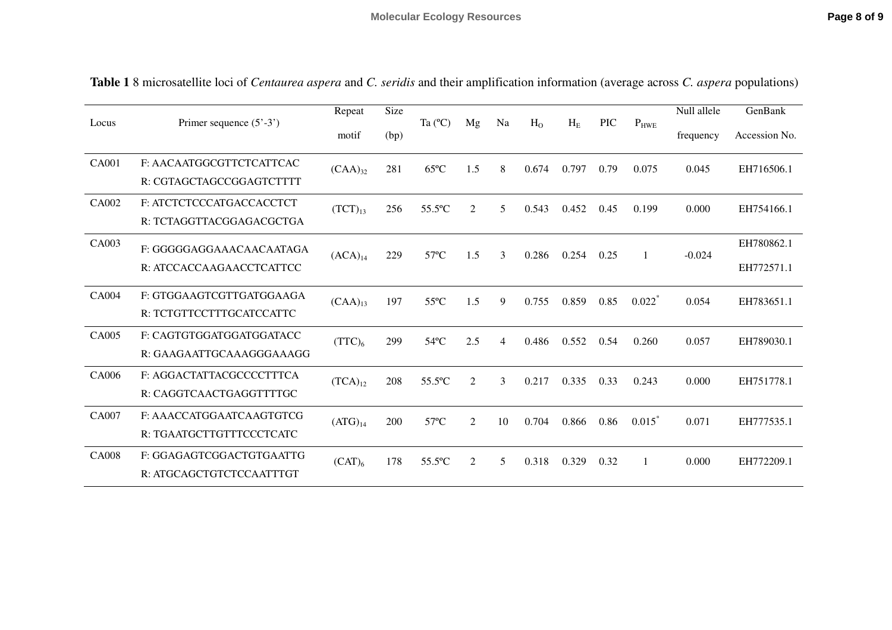| Locus        | Primer sequence $(5' - 3')$                          | Repeat             | Size | Ta $(^{\circ}C)$ | Mg             | Na | H <sub>0</sub> | $H_E$ | <b>PIC</b> | $P_{HWE}$            | Null allele | GenBank                  |
|--------------|------------------------------------------------------|--------------------|------|------------------|----------------|----|----------------|-------|------------|----------------------|-------------|--------------------------|
|              |                                                      | motif              | (bp) |                  |                |    |                |       |            |                      | frequency   | Accession No.            |
| <b>CA001</b> | F: AACAATGGCGTTCTCATTCAC<br>R: CGTAGCTAGCCGGAGTCTTTT | $(CAA)_{32}$       | 281  | $65^{\circ}$ C   | 1.5            | 8  | 0.674          | 0.797 | 0.79       | 0.075                | 0.045       | EH716506.1               |
| CA002        | F: ATCTCTCCCATGACCACCTCT<br>R: TCTAGGTTACGGAGACGCTGA | $(TCT)_{13}$       | 256  | 55.5°C           | $\overline{2}$ | 5  | 0.543          | 0.452 | 0.45       | 0.199                | 0.000       | EH754166.1               |
| CA003        | F: GGGGGAGGAAACAACAATAGA<br>R: ATCCACCAAGAACCTCATTCC | $(ACA)_{14}$       | 229  | $57^{\circ}$ C   | 1.5            | 3  | 0.286          | 0.254 | 0.25       | 1                    | $-0.024$    | EH780862.1<br>EH772571.1 |
| <b>CA004</b> | F: GTGGAAGTCGTTGATGGAAGA<br>R: TCTGTTCCTTTGCATCCATTC | $(CAA)_{13}$       | 197  | $55^{\circ}$ C   | 1.5            | 9  | 0.755          | 0.859 | 0.85       | $0.022$ <sup>*</sup> | 0.054       | EH783651.1               |
| CA005        | F: CAGTGTGGATGGATGGATACC<br>R: GAAGAATTGCAAAGGGAAAGG | (TTC) <sub>6</sub> | 299  | $54^{\circ}$ C   | 2.5            | 4  | 0.486          | 0.552 | 0.54       | 0.260                | 0.057       | EH789030.1               |
| CA006        | F: AGGACTATTACGCCCCTTTCA<br>R: CAGGTCAACTGAGGTTTTGC  | $(TCA)_{12}$       | 208  | 55.5°C           | 2              | 3  | 0.217          | 0.335 | 0.33       | 0.243                | 0.000       | EH751778.1               |
| CA007        | F: AAACCATGGAATCAAGTGTCG<br>R: TGAATGCTTGTTTCCCTCATC | $(ATG)_{14}$       | 200  | $57^{\circ}$ C   | 2              | 10 | 0.704          | 0.866 | 0.86       | 0.015                | 0.071       | EH777535.1               |
| <b>CA008</b> | F: GGAGAGTCGGACTGTGAATTG<br>R: ATGCAGCTGTCTCCAATTTGT | $(CAT)_{6}$        | 178  | 55.5°C           | 2              | 5  | 0.318          | 0.329 | 0.32       | 1                    | 0.000       | EH772209.1               |

**Table 1** 8 microsatellite loci of *Centaurea aspera* and *C. seridis* and their amplification information (average across *C. aspera* populations)